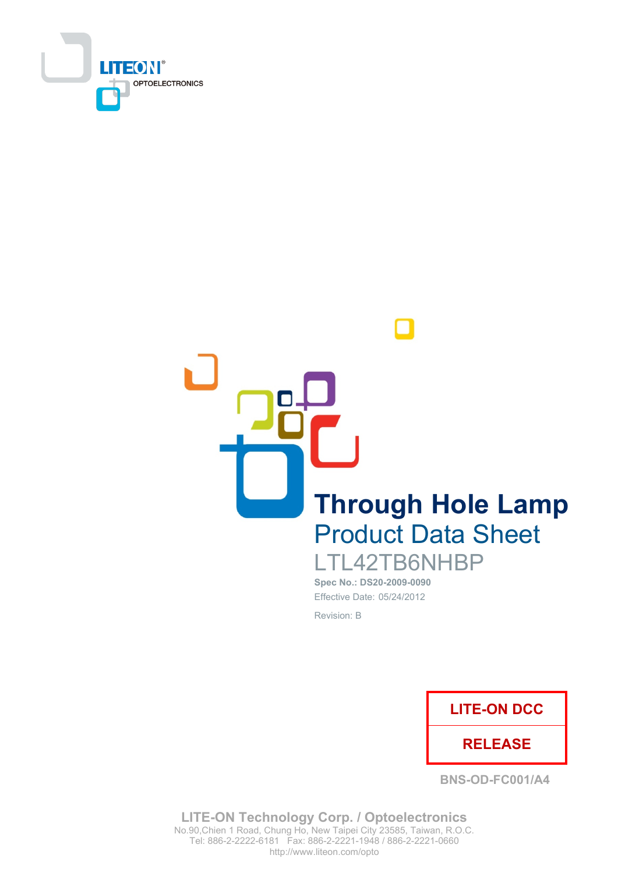

**Through Hole Lamp Product Data Sheet** LTL42TB6NHBP

Spec No.: DS20-2009-0090 Effective Date: 05/24/2012 Revision: B



**BNS-OD-FC001/A4** 

**LITE-ON Technology Corp. / Optoelectronics** No.90, Chien 1 Road, Chung Ho, New Taipei City 23585, Taiwan, R.O.C. Tel: 886-2-2222-6181 Fax: 886-2-2221-1948 / 886-2-2221-0660 http://www.liteon.com/opto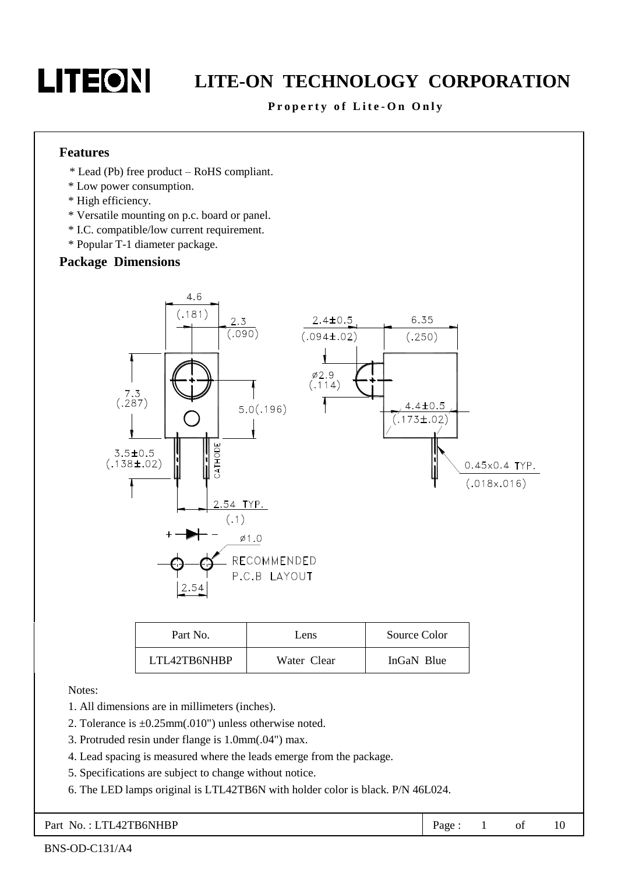#### Property of Lite-On Only

#### **Features**

- \* Lead (Pb) free product RoHS compliant.
- \* Low power consumption.
- \* High efficiency.
- \* Versatile mounting on p.c. board or panel.
- \* I.C. compatible/low current requirement.
- \* Popular T-1 diameter package.

#### **Package Dimensions**



| Part No.     | Lens        | Source Color |
|--------------|-------------|--------------|
| LTL42TB6NHBP | Water Clear | InGaN Blue   |

Notes:

- 1. All dimensions are in millimeters (inches).
- 2. Tolerance is  $\pm 0.25$ mm(.010") unless otherwise noted.
- 3. Protruded resin under flange is 1.0mm(.04") max.
- 4. Lead spacing is measured where the leads emerge from the package.
- 5. Specifications are subject to change without notice.
- 6. The LED lamps original is LTL42TB6N with holder color is black. P/N 46L024.

Part No.: LTL42TB6NHBP Page:  $\mathbf{1}$ of 10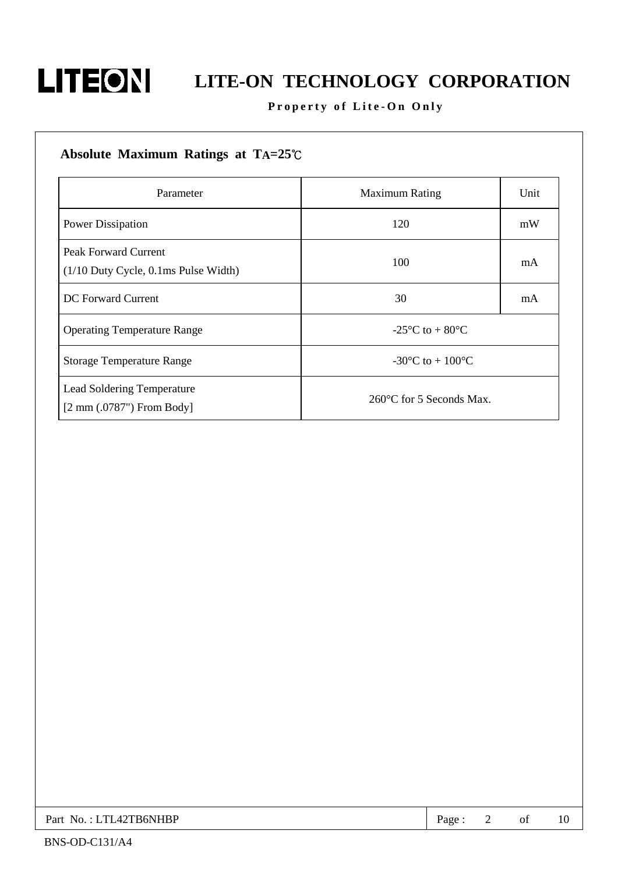

### Property of Lite-On Only

| Absolute Maximum Ratings at $TA=25^{\circ}C$                          |                                        |      |
|-----------------------------------------------------------------------|----------------------------------------|------|
| Parameter                                                             | <b>Maximum Rating</b>                  | Unit |
| Power Dissipation                                                     | 120                                    | mW   |
| <b>Peak Forward Current</b><br>$(1/10$ Duty Cycle, 0.1ms Pulse Width) | 100                                    | mA   |
| DC Forward Current                                                    | 30                                     | mA   |
| <b>Operating Temperature Range</b>                                    | -25 °C to $+80$ °C                     |      |
| <b>Storage Temperature Range</b>                                      | -30 $^{\circ}$ C to + 100 $^{\circ}$ C |      |
| Lead Soldering Temperature<br>$[2 \text{ mm } (.0787")$ From Body     | $260^{\circ}$ C for 5 Seconds Max.     |      |

| Part No.: LTL42TB6NHBP | Page |  |  |  |
|------------------------|------|--|--|--|
|------------------------|------|--|--|--|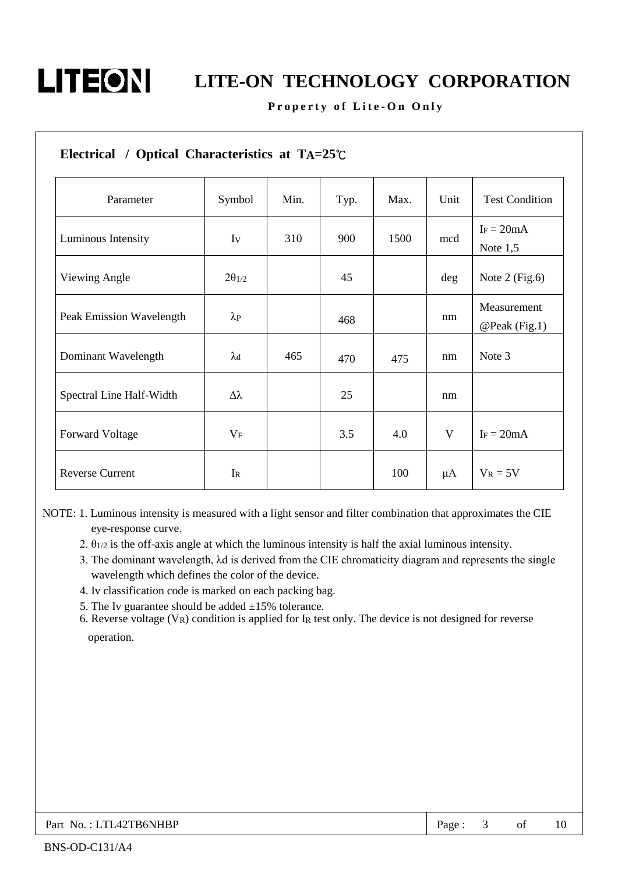#### Property of Lite-On Only

| Electrical / Optical Characteristics at $TA=25^{\circ}C$ |                   |      |      |      |      |                              |
|----------------------------------------------------------|-------------------|------|------|------|------|------------------------------|
| Parameter                                                | Symbol            | Min. | Typ. | Max. | Unit | <b>Test Condition</b>        |
| Luminous Intensity                                       | Iv                | 310  | 900  | 1500 | mcd  | $I_F = 20mA$<br>Note $1,5$   |
| Viewing Angle                                            | $2\theta_{1/2}$   |      | 45   |      | deg  | Note $2$ (Fig.6)             |
| Peak Emission Wavelength                                 | $\lambda_{\rm P}$ |      | 468  |      | nm   | Measurement<br>@Peak (Fig.1) |
| Dominant Wavelength                                      | $\lambda$ d       | 465  | 470  | 475  | nm   | Note 3                       |
| Spectral Line Half-Width                                 | $\Delta\lambda$   |      | 25   |      | nm   |                              |
| <b>Forward Voltage</b>                                   | $V_F$             |      | 3.5  | 4.0  | V    | $I_F = 20mA$                 |
| <b>Reverse Current</b>                                   | $I_{R}$           |      |      | 100  | μA   | $V_R = 5V$                   |

NOTE: 1. Luminous intensity is measured with a light sensor and filter combination that approximates the CIE eye-response curve.

- 2.  $\theta_{1/2}$  is the off-axis angle at which the luminous intensity is half the axial luminous intensity.
- 3. The dominant wavelength,  $\lambda$ d is derived from the CIE chromaticity diagram and represents the single wavelength which defines the color of the device.
- 4. Iv classification code is marked on each packing bag.
- 5. The Iv guarantee should be added  $\pm 15\%$  tolerance.

6. Reverse voltage  $(V_R)$  condition is applied for IR test only. The device is not designed for reverse operation.

| Part No.: LTL42TB6NHBP | Page . |  | of |  |
|------------------------|--------|--|----|--|
|------------------------|--------|--|----|--|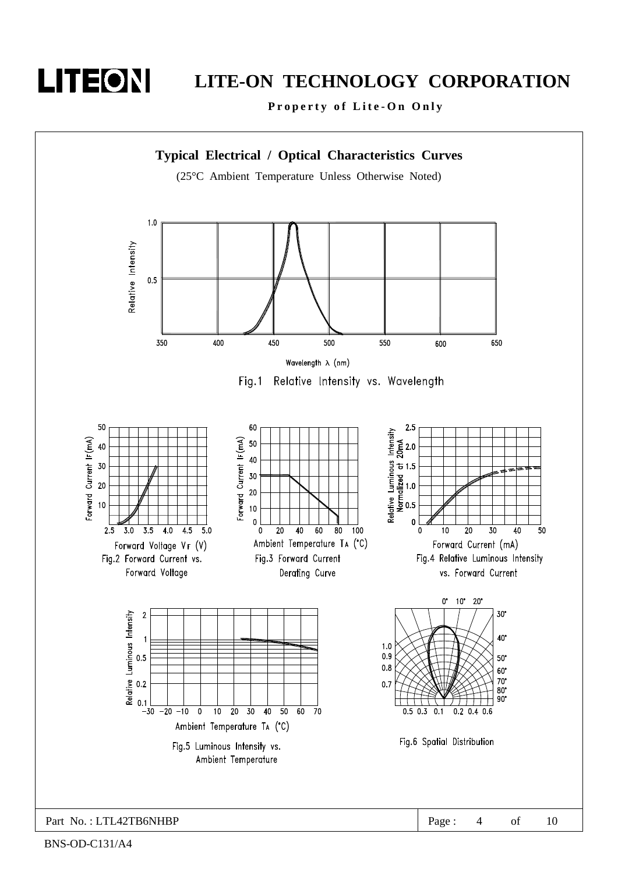

## LITE-ON TECHNOLOGY CORPORATION

Property of Lite-On Only



BNS-OD-C131/A4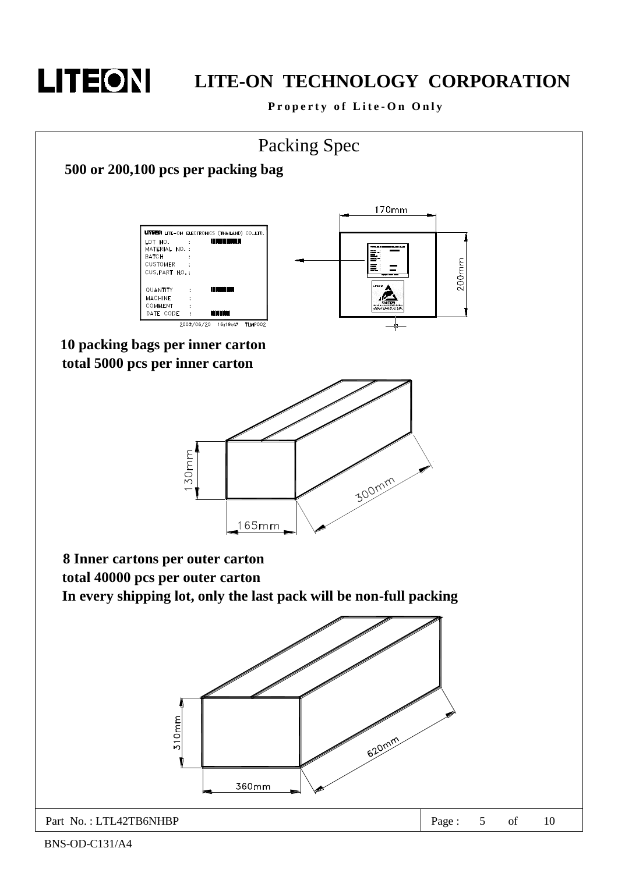# LITEON

## LITE-ON TECHNOLOGY CORPORATION

Property of Lite-On Only

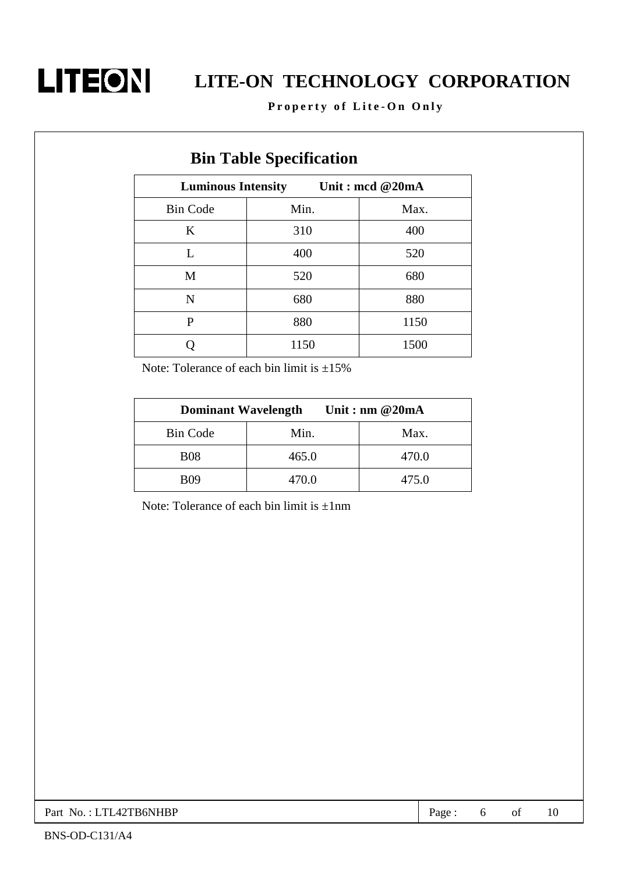

Property of Lite-On Only

| DIII Table Specification |                                              |      |  |  |  |  |
|--------------------------|----------------------------------------------|------|--|--|--|--|
|                          | Unit: mcd @20mA<br><b>Luminous Intensity</b> |      |  |  |  |  |
| <b>Bin Code</b>          | Min.                                         | Max. |  |  |  |  |
| K                        | 310                                          | 400  |  |  |  |  |
| L                        | 400                                          | 520  |  |  |  |  |
| M                        | 520                                          | 680  |  |  |  |  |
| N                        | 680                                          | 880  |  |  |  |  |
| P                        | 880                                          | 1150 |  |  |  |  |
|                          | 1150                                         | 1500 |  |  |  |  |

### **Din Toble Specification**

Note: Tolerance of each bin limit is  $\pm 15\%$ 

| <b>Dominant Wavelength</b><br>Unit : nm $@20mA$ |       |       |  |  |
|-------------------------------------------------|-------|-------|--|--|
| <b>Bin Code</b>                                 | Min.  | Max.  |  |  |
| <b>B08</b>                                      | 465.0 | 470.0 |  |  |
| <b>B09</b>                                      | 470.0 | 475.0 |  |  |

Note: Tolerance of each bin limit is  $\pm 1$ nm

Part No.: LTL42TB6NHBP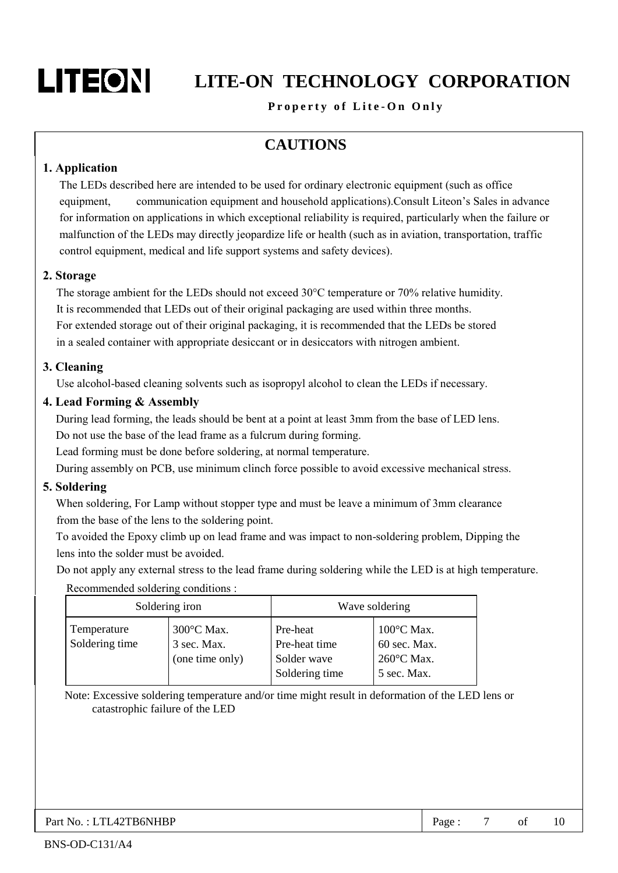# LITEON

# **LITE-ON TECHNOLOGY CORPORATION**

#### Property of Lite-On Only

### **CAUTIONS**

#### 1. Application

The LEDs described here are intended to be used for ordinary electronic equipment (such as office communication equipment and household applications). Consult Liteon's Sales in advance equipment. for information on applications in which exceptional reliability is required, particularly when the failure or malfunction of the LEDs may directly jeopardize life or health (such as in aviation, transportation, traffic control equipment, medical and life support systems and safety devices).

#### 2. Storage

The storage ambient for the LEDs should not exceed  $30^{\circ}$ C temperature or 70% relative humidity. It is recommended that LEDs out of their original packaging are used within three months. For extended storage out of their original packaging, it is recommended that the LEDs be stored in a sealed container with appropriate desiccant or in desiccators with nitrogen ambient.

#### 3. Cleaning

Use alcohol-based cleaning solvents such as isopropyl alcohol to clean the LEDs if necessary.

#### 4. Lead Forming & Assembly

During lead forming, the leads should be bent at a point at least 3mm from the base of LED lens. Do not use the base of the lead frame as a fulcrum during forming.

Lead forming must be done before soldering, at normal temperature.

During assembly on PCB, use minimum clinch force possible to avoid excessive mechanical stress.

#### 5. Soldering

When soldering, For Lamp without stopper type and must be leave a minimum of 3mm clearance from the base of the lens to the soldering point.

To avoided the Epoxy climb up on lead frame and was impact to non-soldering problem, Dipping the lens into the solder must be avoided.

Do not apply any external stress to the lead frame during soldering while the LED is at high temperature.

Recommended soldering conditions:

| Soldering iron                |                                              | Wave soldering                                             |                                                                   |  |
|-------------------------------|----------------------------------------------|------------------------------------------------------------|-------------------------------------------------------------------|--|
| Temperature<br>Soldering time | 300°C Max.<br>3 sec. Max.<br>(one time only) | Pre-heat<br>Pre-heat time<br>Solder wave<br>Soldering time | $100^{\circ}$ C Max.<br>60 sec. Max.<br>260°C Max.<br>5 sec. Max. |  |

Note: Excessive soldering temperature and/or time might result in deformation of the LED lens or catastrophic failure of the LED

Page:  $\overline{7}$ of  $10$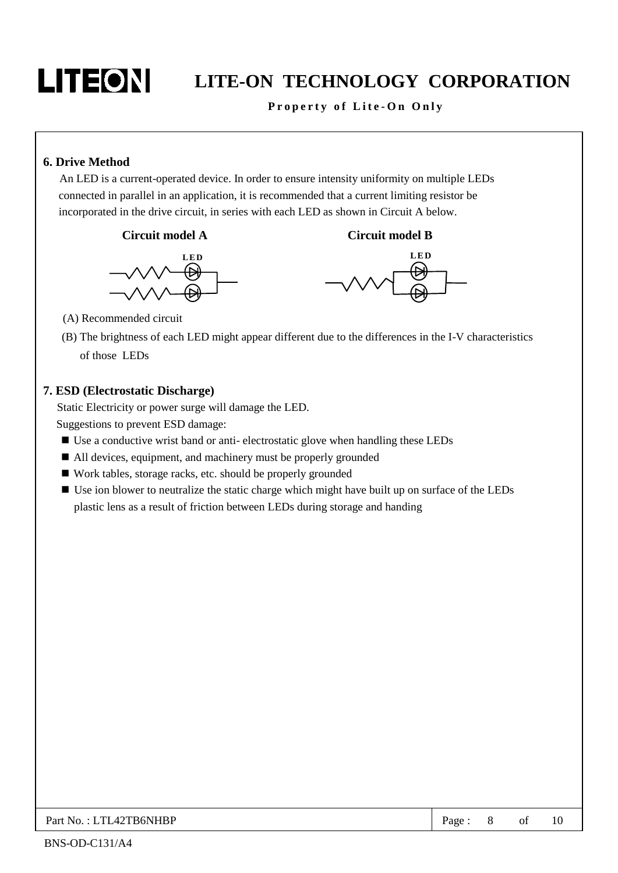#### Property of Lite-On Only

#### **6. Drive Method**

An LED is a current-operated device. In order to ensure intensity uniformity on multiple LEDs connected in parallel in an application, it is recommended that a current limiting resistor be incorporated in the drive circuit, in series with each LED as shown in Circuit A below.









(A) Recommended circuit

(B) The brightness of each LED might appear different due to the differences in the I-V characteristics of those LEDs

#### 7. ESD (Electrostatic Discharge)

Static Electricity or power surge will damage the LED. Suggestions to prevent ESD damage:

- Use a conductive wrist band or anti-electrostatic glove when handling these LEDs
- All devices, equipment, and machinery must be properly grounded
- Work tables, storage racks, etc. should be properly grounded
- Use ion blower to neutralize the static charge which might have built up on surface of the LEDs plastic lens as a result of friction between LEDs during storage and handing

| Part No.: LTL42TB6NHBP | Page: $8$ of 10 |  |  |  |
|------------------------|-----------------|--|--|--|
|------------------------|-----------------|--|--|--|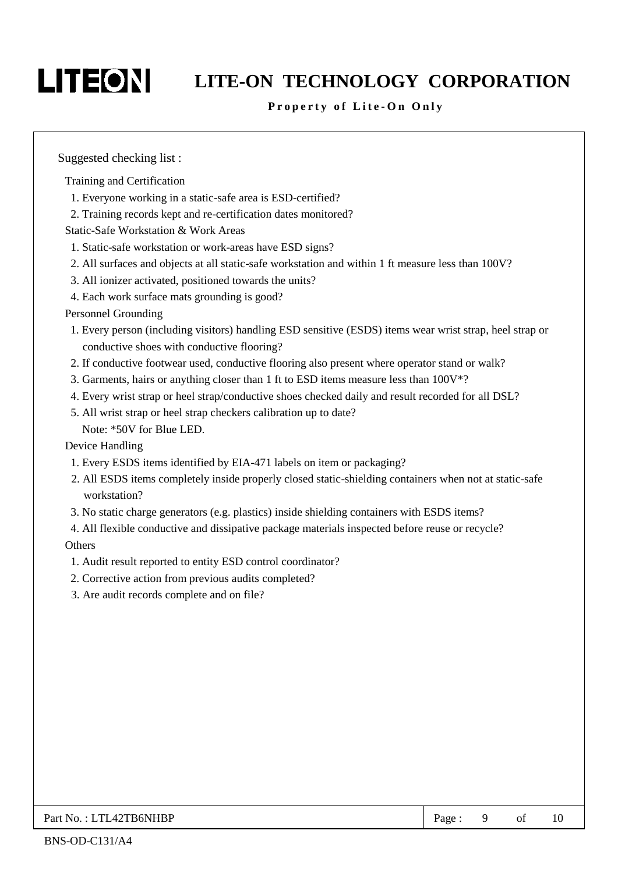# LITEON

## LITE-ON TECHNOLOGY CORPORATION

#### Property of Lite-On Only

Suggested checking list:

Training and Certification

- 1. Everyone working in a static-safe area is ESD-certified?
- 2. Training records kept and re-certification dates monitored?

**Static-Safe Workstation & Work Areas** 

- 1. Static-safe workstation or work-areas have ESD signs?
- 2. All surfaces and objects at all static-safe workstation and within 1 ft measure less than 100V?
- 3. All ionizer activated, positioned towards the units?
- 4. Each work surface mats grounding is good?

#### **Personnel Grounding**

- 1. Every person (including visitors) handling ESD sensitive (ESDS) items wear wrist strap, heel strap or conductive shoes with conductive flooring?
- 2. If conductive footwear used, conductive flooring also present where operator stand or walk?
- 3. Garments, hairs or anything closer than 1 ft to ESD items measure less than 100V\*?
- 4. Every wrist strap or heel strap/conductive shoes checked daily and result recorded for all DSL?
- 5. All wrist strap or heel strap checkers calibration up to date? Note: \*50V for Blue LED.

Device Handling

- 1. Every ESDS items identified by EIA-471 labels on item or packaging?
- 2. All ESDS items completely inside properly closed static-shielding containers when not at static-safe workstation?
- 3. No static charge generators (e.g. plastics) inside shielding containers with ESDS items?
- 4. All flexible conductive and dissipative package materials inspected before reuse or recycle? Others
- 1. Audit result reported to entity ESD control coordinator?
- 2. Corrective action from previous audits completed?
- 3. Are audit records complete and on file?

| Part No.: LTL42TB6NHBP | Page. |  |  |  |
|------------------------|-------|--|--|--|
|------------------------|-------|--|--|--|